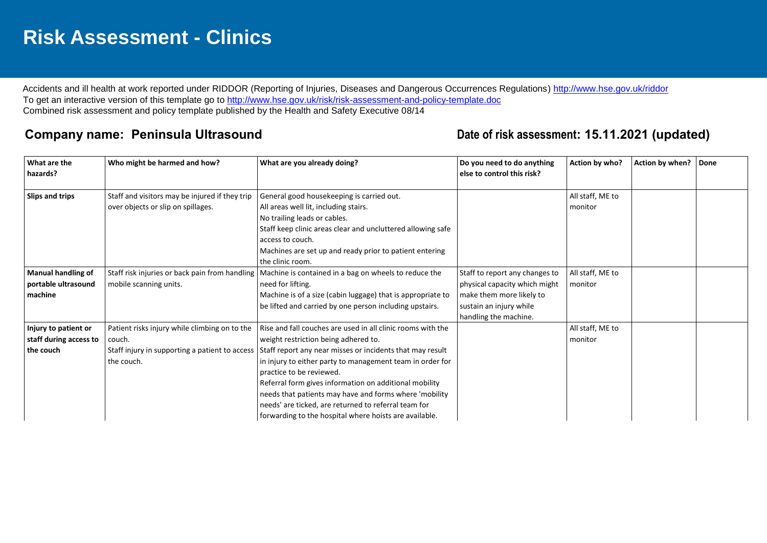## **Risk Assessment - Clinics**

Accidents and ill health at work reported under RIDDOR (Reporting of Injuries, Diseases and Dangerous Occurrences Regulations)<http://www.hse.gov.uk/riddor> To get an interactive version of this template go to<http://www.hse.gov.uk/risk/risk-assessment-and-policy-template.doc> Combined risk assessment and policy template published by the Health and Safety Executive 08/14

## **Company name: Peninsula Ultrasound Date of risk assessment: 15.11.2021 (updated)**

| What are the<br>hazards?  | Who might be harmed and how?                   | What are you already doing?                                 | Do you need to do anything<br>else to control this risk? | Action by who?   | Action by when? | Done |
|---------------------------|------------------------------------------------|-------------------------------------------------------------|----------------------------------------------------------|------------------|-----------------|------|
|                           |                                                |                                                             |                                                          |                  |                 |      |
| Slips and trips           | Staff and visitors may be injured if they trip | General good housekeeping is carried out.                   |                                                          | All staff, ME to |                 |      |
|                           | over objects or slip on spillages.             | All areas well lit, including stairs.                       |                                                          | monitor          |                 |      |
|                           |                                                | No trailing leads or cables.                                |                                                          |                  |                 |      |
|                           |                                                | Staff keep clinic areas clear and uncluttered allowing safe |                                                          |                  |                 |      |
|                           |                                                | access to couch.                                            |                                                          |                  |                 |      |
|                           |                                                | Machines are set up and ready prior to patient entering     |                                                          |                  |                 |      |
|                           |                                                | the clinic room.                                            |                                                          |                  |                 |      |
| <b>Manual handling of</b> | Staff risk injuries or back pain from handling | Machine is contained in a bag on wheels to reduce the       | Staff to report any changes to                           | All staff, ME to |                 |      |
| portable ultrasound       | mobile scanning units.                         | need for lifting.                                           | physical capacity which might                            | monitor          |                 |      |
| machine                   |                                                | Machine is of a size (cabin luggage) that is appropriate to | make them more likely to                                 |                  |                 |      |
|                           |                                                | be lifted and carried by one person including upstairs.     | sustain an injury while                                  |                  |                 |      |
|                           |                                                |                                                             | handling the machine.                                    |                  |                 |      |
| Injury to patient or      | Patient risks injury while climbing on to the  | Rise and fall couches are used in all clinic rooms with the |                                                          | All staff, ME to |                 |      |
| staff during access to    | couch.                                         | weight restriction being adhered to.                        |                                                          | monitor          |                 |      |
| the couch                 | Staff injury in supporting a patient to access | Staff report any near misses or incidents that may result   |                                                          |                  |                 |      |
|                           | the couch.                                     | in injury to either party to management team in order for   |                                                          |                  |                 |      |
|                           |                                                | practice to be reviewed.                                    |                                                          |                  |                 |      |
|                           |                                                | Referral form gives information on additional mobility      |                                                          |                  |                 |      |
|                           |                                                | needs that patients may have and forms where 'mobility      |                                                          |                  |                 |      |
|                           |                                                | needs' are ticked, are returned to referral team for        |                                                          |                  |                 |      |
|                           |                                                | forwarding to the hospital where hoists are available.      |                                                          |                  |                 |      |